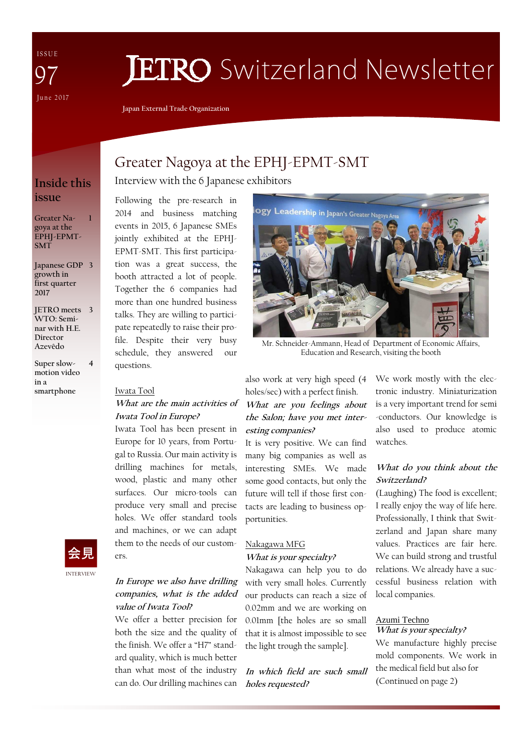I S S U E June 2017 97

# **JETRO** Switzerland Newsletter

**Japan External Trade Organization** 

# Greater Nagoya at the EPHJ-EPMT-SMT

Interview with the 6 Japanese exhibitors

## **Inside this issue**

**1** 

**Greater Nagoya at the EPHJ-EPMT-SMT** 

**Japanese GDP 3 growth in first quarter 2017** 

**JETRO meets 3 WTO: Seminar with H.E. Director Azevêdo** 

**Super slowmotion video in a smartphone 4** 

2014 and business matching events in 2015, 6 Japanese SMEs jointly exhibited at the EPHJ-EPMT-SMT. This first participation was a great success, the booth attracted a lot of people. Together the 6 companies had more than one hundred business talks. They are willing to participate repeatedly to raise their profile. Despite their very busy schedule, they answered our questions.

Following the pre-research in

#### Iwata Tool **What are the main activities of Iwata Tool in Europe?**

Iwata Tool has been present in Europe for 10 years, from Portugal to Russia. Our main activity is drilling machines for metals, wood, plastic and many other surfaces. Our micro-tools can produce very small and precise holes. We offer standard tools and machines, or we can adapt them to the needs of our customers.



#### **In Europe we also have drilling companies, what is the added value of Iwata Tool?**

We offer a better precision for both the size and the quality of the finish. We offer a "H7" standard quality, which is much better than what most of the industry can do. Our drilling machines can



Mr. Schneider-Ammann, Head of Department of Economic Affairs, Education and Research, visiting the booth

also work at very high speed (4 holes/sec) with a perfect finish. **What are you feelings about the Salon; have you met interesting companies?** 

It is very positive. We can find many big companies as well as interesting SMEs. We made some good contacts, but only the future will tell if those first contacts are leading to business opportunities.

#### Nakagawa MFG

### **What is your specialty?**

Nakagawa can help you to do with very small holes. Currently our products can reach a size of 0.02mm and we are working on 0.01mm [the holes are so small that it is almost impossible to see the light trough the sample].

**In which field are such small holes requested?** 

We work mostly with the electronic industry. Miniaturization is a very important trend for semi -conductors. Our knowledge is also used to produce atomic watches.

#### **What do you think about the Switzerland?**

(Laughing) The food is excellent; I really enjoy the way of life here. Professionally, I think that Switzerland and Japan share many values. Practices are fair here. We can build strong and trustful relations. We already have a successful business relation with local companies.

#### Azumi Techno **What is your specialty?**

We manufacture highly precise mold components. We work in the medical field but also for (Continued on page 2)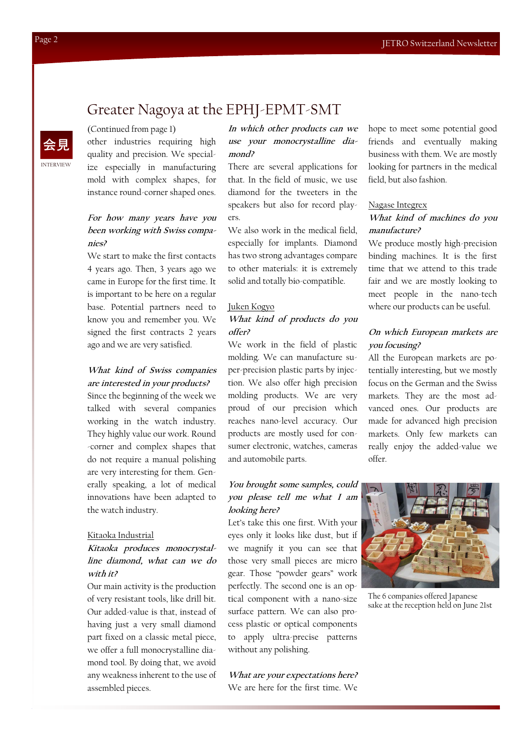# Greater Nagoya at the EPHJ-EPMT-SMT

#### (Continued from page 1)

other industries requiring high quality and precision. We specialize especially in manufacturing mold with complex shapes, for instance round-corner shaped ones.

#### **For how many years have you been working with Swiss companies?**

We start to make the first contacts 4 years ago. Then, 3 years ago we came in Europe for the first time. It is important to be here on a regular base. Potential partners need to know you and remember you. We signed the first contracts 2 years ago and we are very satisfied.

#### **What kind of Swiss companies are interested in your products?**

Since the beginning of the week we talked with several companies working in the watch industry. They highly value our work. Round -corner and complex shapes that do not require a manual polishing are very interesting for them. Generally speaking, a lot of medical innovations have been adapted to the watch industry.

#### Kitaoka Industrial

#### **Kitaoka produces monocrystalline diamond, what can we do with it?**

Our main activity is the production of very resistant tools, like drill bit. Our added-value is that, instead of having just a very small diamond part fixed on a classic metal piece, we offer a full monocrystalline diamond tool. By doing that, we avoid any weakness inherent to the use of assembled pieces.

#### **In which other products can we use your monocrystalline diamond?**

There are several applications for that. In the field of music, we use diamond for the tweeters in the speakers but also for record players.

We also work in the medical field, especially for implants. Diamond has two strong advantages compare to other materials: it is extremely solid and totally bio-compatible.

#### Juken Kogyo

#### **What kind of products do you offer?**

We work in the field of plastic molding. We can manufacture super-precision plastic parts by injection. We also offer high precision molding products. We are very proud of our precision which reaches nano-level accuracy. Our products are mostly used for consumer electronic, watches, cameras and automobile parts.

#### **You brought some samples, could you please tell me what I am looking here?**

Let's take this one first. With your eyes only it looks like dust, but if we magnify it you can see that those very small pieces are micro gear. Those "powder gears" work perfectly. The second one is an optical component with a nano-size surface pattern. We can also process plastic or optical components to apply ultra-precise patterns without any polishing.

**What are your expectations here?**  We are here for the first time. We

hope to meet some potential good friends and eventually making business with them. We are mostly looking for partners in the medical field, but also fashion.

#### Nagase Integrex

#### **What kind of machines do you manufacture?**

We produce mostly high-precision binding machines. It is the first time that we attend to this trade fair and we are mostly looking to meet people in the nano-tech where our products can be useful.

#### **On which European markets are you focusing?**

All the European markets are potentially interesting, but we mostly focus on the German and the Swiss markets. They are the most advanced ones. Our products are made for advanced high precision markets. Only few markets can really enjoy the added-value we offer.



The 6 companies offered Japanese sake at the reception held on June 21st

INTERVIEW 会見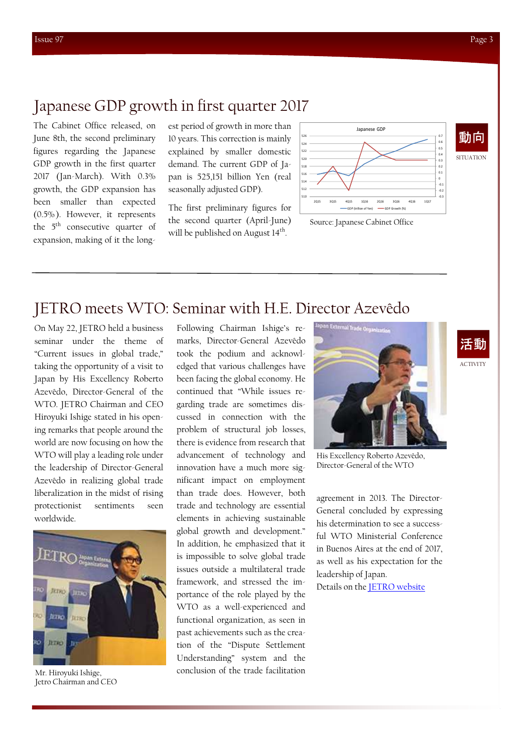# Japanese GDP growth in first quarter 2017

The Cabinet Office released, on June 8th, the second preliminary figures regarding the Japanese GDP growth in the first quarter 2017 (Jan-March). With 0.3% growth, the GDP expansion has been smaller than expected (0.5%). However, it represents the 5<sup>th</sup> consecutive quarter of expansion, making of it the longest period of growth in more than 10 years. This correction is mainly explained by smaller domestic demand. The current GDP of Japan is 525,151 billion Yen (real seasonally adjusted GDP).

The first preliminary figures for the second quarter (April-June) will be published on August 14<sup>th</sup>.



Source: Japanese Cabinet Office

# JETRO meets WTO: Seminar with H.E. Director Azevêdo

On May 22, JETRO held a business seminar under the theme of "Current issues in global trade," taking the opportunity of a visit to Japan by His Excellency Roberto Azevêdo, Director-General of the WTO. JETRO Chairman and CEO Hiroyuki Ishige stated in his opening remarks that people around the world are now focusing on how the WTO will play a leading role under the leadership of Director-General Azevêdo in realizing global trade liberalization in the midst of rising protectionist sentiments seen worldwide.



Mr. Hiroyuki Ishige, Jetro Chairman and CEO

Following Chairman Ishige's remarks, Director-General Azevêdo took the podium and acknowledged that various challenges have been facing the global economy. He continued that "While issues regarding trade are sometimes discussed in connection with the problem of structural job losses, there is evidence from research that advancement of technology and innovation have a much more significant impact on employment than trade does. However, both trade and technology are essential elements in achieving sustainable global growth and development." In addition, he emphasized that it is impossible to solve global trade issues outside a multilateral trade framework, and stressed the importance of the role played by the WTO as a well-experienced and functional organization, as seen in past achievements such as the creation of the "Dispute Settlement Understanding" system and the conclusion of the trade facilitation



His Excellency Roberto Azevêdo, Director-General of the WTO

agreement in 2013. The Director-General concluded by expressing his determination to see a successful WTO Ministerial Conference in Buenos Aires at the end of 2017, as well as his expectation for the leadership of Japan.

Details on the JETRO website

**ACTIVITY** 活動